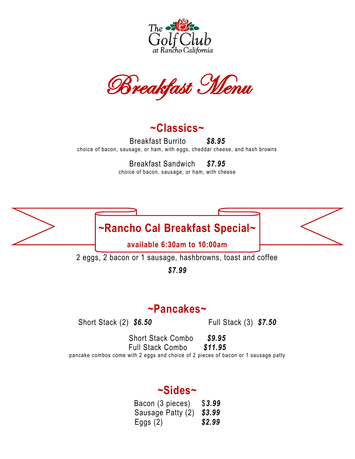

Breakfast Menu

**~Classics~**

Breakfast Burrito *\$8.95* choice of bacon, sausage, or ham, with eggs, cheddar cheese, and hash browns

Breakfast Sandwich *\$7.95*

choice of bacon, sausage, or ham, with cheese



2 eggs, 2 bacon or 1 sausage, hashbrowns, toast and coffee

*\$7.99*

## **~Pancakes~**

Short Stack (2) *\$6.50* Full Stack (3) *\$7.50*

Short Stack Combo *\$9.95* Full Stack Combo *\$11.95* pancake combos come with 2 eggs and choice of 2 pieces of bacon or 1 sausage patty

## **~Sides~**

Bacon (3 pieces) \$*3.99* Sausage Patty (2) *\$3.99* Eggs (2) *\$2.99*